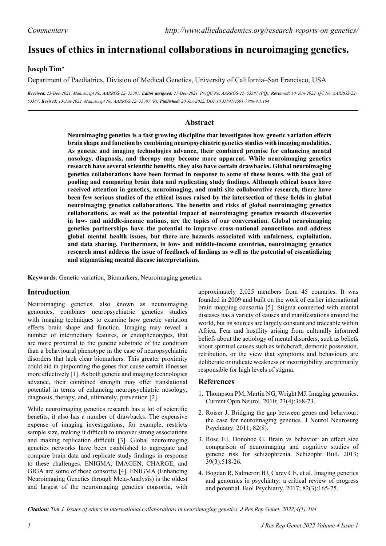# **Issues of ethics in international collaborations in neuroimaging genetics.**

#### **Joseph Tim\***

Department of Paediatrics, Division of Medical Genetics, University of California–San Francisco, USA

*Received: 23-Dec-2021, Manuscript No. AARRGS-22- 53387; Editor assigned: 27-Dec-2021, PreQC No. AARRGS-22- 53387 (PQ); Reviewed: 10- Jan-2022, QC No. AARRGS-22- 53387; Revised: 13-Jan-2022, Manuscript No. AARRGS-22- 53387 (R); Published: 20-Jan-2022, DOI:10.35841/2591-7986-4.1.104*

### **Abstract**

**Neuroimaging genetics is a fast growing discipline that investigates how genetic variation effects brain shape and function by combining neuropsychiatric genetics studies with imaging modalities. As genetic and imaging technologies advance, their combined promise for enhancing mental nosology, diagnosis, and therapy may become more apparent. While neuroimaging genetics research have several scientific benefits, they also have certain drawbacks. Global neuroimaging genetics collaborations have been formed in response to some of these issues, with the goal of pooling and comparing brain data and replicating study findings. Although ethical issues have received attention in genetics, neuroimaging, and multi-site collaborative research, there have been few serious studies of the ethical issues raised by the intersection of these fields in global neuroimaging genetics collaborations. The benefits and risks of global neuroimaging genetics collaborations, as well as the potential impact of neuroimaging genetics research discoveries in low- and middle-income nations, are the topics of our conversation. Global neuroimaging genetics partnerships have the potential to improve cross-national connections and address global mental health issues, but there are hazards associated with unfairness, exploitation, and data sharing. Furthermore, in low- and middle-income countries, neuroimaging genetics research must address the issue of feedback of findings as well as the potential of essentializing and stigmatising mental disease interpretations.**

**Keywords**: Genetic variation, Biomarkers, Neuroimaging genetics.

#### **Introduction**

Neuroimaging genetics, also known as neuroimaging genomics, combines neuropsychiatric genetics studies with imaging techniques to examine how genetic variation effects brain shape and function. Imaging may reveal a number of intermediary features, or endophenotypes, that are more proximal to the genetic substrate of the condition than a behavioural phenotype in the case of neuropsychiatric disorders that lack clear biomarkers. This greater proximity could aid in pinpointing the genes that cause certain illnesses more effectively [1]. As both genetic and imaging technologies advance, their combined strength may offer translational potential in terms of enhancing neuropsychiatric nosology, diagnosis, therapy, and, ultimately, prevention [2].

While neuroimaging genetics research has a lot of scientific benefits, it also has a number of drawbacks. The expensive expense of imaging investigations, for example, restricts sample size, making it difficult to uncover strong associations and making replication difficult [3]. Global neuroimaging genetics networks have been established to aggregate and compare brain data and replicate study findings in response to these challenges. ENIGMA, IMAGEN, CHARGE, and GIGA are some of these consortia [4]. ENIGMA (Enhancing Neuroimaging Genetics through Meta-Analysis) is the oldest and largest of the neuroimaging genetics consortia, with

approximately 2,025 members from 45 countries. It was founded in 2009 and built on the work of earlier international brain mapping consortia [5]. Stigma connected with mental diseases has a variety of causes and manifestations around the world, but its sources are largely constant and traceable within Africa. Fear and hostility arising from culturally informed beliefs about the aetiology of mental disorders, such as beliefs about spiritual causes such as witchcraft, demonic possession, retribution, or the view that symptoms and behaviours are deliberate or indicate weakness or incorrigibility, are primarily responsible for high levels of stigma.

#### **References**

- 1. Thompson PM, Martin NG, Wright MJ. [Imaging genomics](https://academic.oup.com/bmb/article/65/1/259/375349). Current Opin Neurol. 2010; 23(4):368-73.
- 2. Roiser J. [Bridging the gap between genes and behaviour:](https://jnnp.bmj.com/content/82/8/e2.17)  [the case for neuroimaging genetics](https://jnnp.bmj.com/content/82/8/e2.17). J Neurol Neurosurg Psychiatry. 2011; 82(8).
- 3. Rose EJ, Donohoe G. [Brain vs behavior: an effect size](https://academic.oup.com/schizophreniabulletin/article/39/3/518/1886327)  [comparison of neuroimaging and cognitive studies of](https://academic.oup.com/schizophreniabulletin/article/39/3/518/1886327)  [genetic risk for schizophrenia](https://academic.oup.com/schizophreniabulletin/article/39/3/518/1886327). Schizophr Bull. 2013; 39(3):518-26.
- 4. Bogdan R, Salmeron BJ, Carey CE, et al. [Imaging genetics](https://psycnet.apa.org/record/2017-10857-001)  [and genomics in psychiatry: a critical review of progress](https://psycnet.apa.org/record/2017-10857-001)  [and potential](https://psycnet.apa.org/record/2017-10857-001). Biol Psychiatry. 2017; 82(3):165-75.

*Citation: Tim J. Issues of ethics in international collaborations in neuroimaging genetics. J Res Rep Genet. 2022;4(1):104*